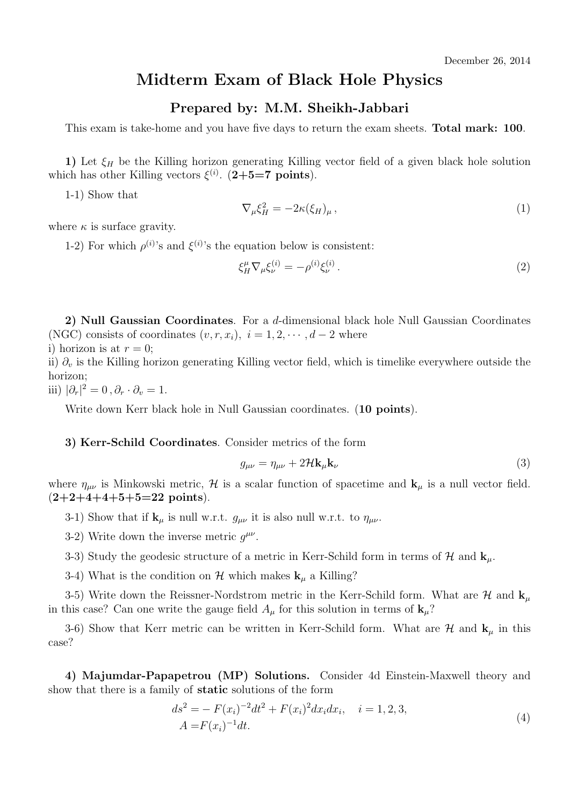## **Midterm Exam of Black Hole Physics**

## **Prepared by: M.M. Sheikh-Jabbari**

This exam is take-home and you have five days to return the exam sheets. **Total mark: 100**.

**1)** Let  $\xi$ <sup>H</sup> be the Killing horizon generating Killing vector field of a given black hole solution which has other Killing vectors  $\xi^{(i)}$ . (2+5=7 points).

1-1) Show that

$$
\nabla_{\mu} \xi_H^2 = -2\kappa (\xi_H)_{\mu} \,, \tag{1}
$$

where  $\kappa$  is surface gravity.

1-2) For which  $\rho^{(i)}$ 's and  $\xi^{(i)}$ 's the equation below is consistent:

$$
\xi_H^{\mu} \nabla_{\mu} \xi_{\nu}^{(i)} = -\rho^{(i)} \xi_{\nu}^{(i)} . \tag{2}
$$

**2) Null Gaussian Coordinates**. For a *d*-dimensional black hole Null Gaussian Coordinates (NGC) consists of coordinates  $(v, r, x_i)$ ,  $i = 1, 2, \dots, d - 2$  where i) horizon is at  $r = 0$ ;

ii) *∂<sup>v</sup>* is the Killing horizon generating Killing vector field, which is timelike everywhere outside the horizon;

iii)  $|\partial_r|^2 = 0$ ,  $\partial_r \cdot \partial_v = 1$ .

Write down Kerr black hole in Null Gaussian coordinates. (**10 points**).

## **3) Kerr-Schild Coordinates**. Consider metrics of the form

$$
g_{\mu\nu} = \eta_{\mu\nu} + 2\mathcal{H}\mathbf{k}_{\mu}\mathbf{k}_{\nu} \tag{3}
$$

where  $\eta_{\mu\nu}$  is Minkowski metric,  $\mathcal{H}$  is a scalar function of spacetime and  $\mathbf{k}_{\mu}$  is a null vector field. (**2+2+4+4+5+5=22 points**).

3-1) Show that if  $\mathbf{k}_{\mu}$  is null w.r.t.  $g_{\mu\nu}$  it is also null w.r.t. to  $\eta_{\mu\nu}$ .

3-2) Write down the inverse metric  $g^{\mu\nu}$ .

3-3) Study the geodesic structure of a metric in Kerr-Schild form in terms of  $H$  and  $\mathbf{k}_{\mu}$ .

3-4) What is the condition on  $\mathcal{H}$  which makes  $\mathbf{k}_{\mu}$  a Killing?

3-5) Write down the Reissner-Nordstrom metric in the Kerr-Schild form. What are  $\mathcal{H}$  and  $\mathbf{k}_\mu$ in this case? Can one write the gauge field  $A_\mu$  for this solution in terms of  $\mathbf{k}_\mu$ ?

3-6) Show that Kerr metric can be written in Kerr-Schild form. What are  $\mathcal{H}$  and  $\mathbf{k}_{\mu}$  in this case?

**4) Majumdar-Papapetrou (MP) Solutions.** Consider 4d Einstein-Maxwell theory and show that there is a family of **static** solutions of the form

$$
ds^{2} = -F(x_{i})^{-2}dt^{2} + F(x_{i})^{2}dx_{i}dx_{i}, \quad i = 1, 2, 3,
$$
  
\n
$$
A = F(x_{i})^{-1}dt.
$$
\n(4)